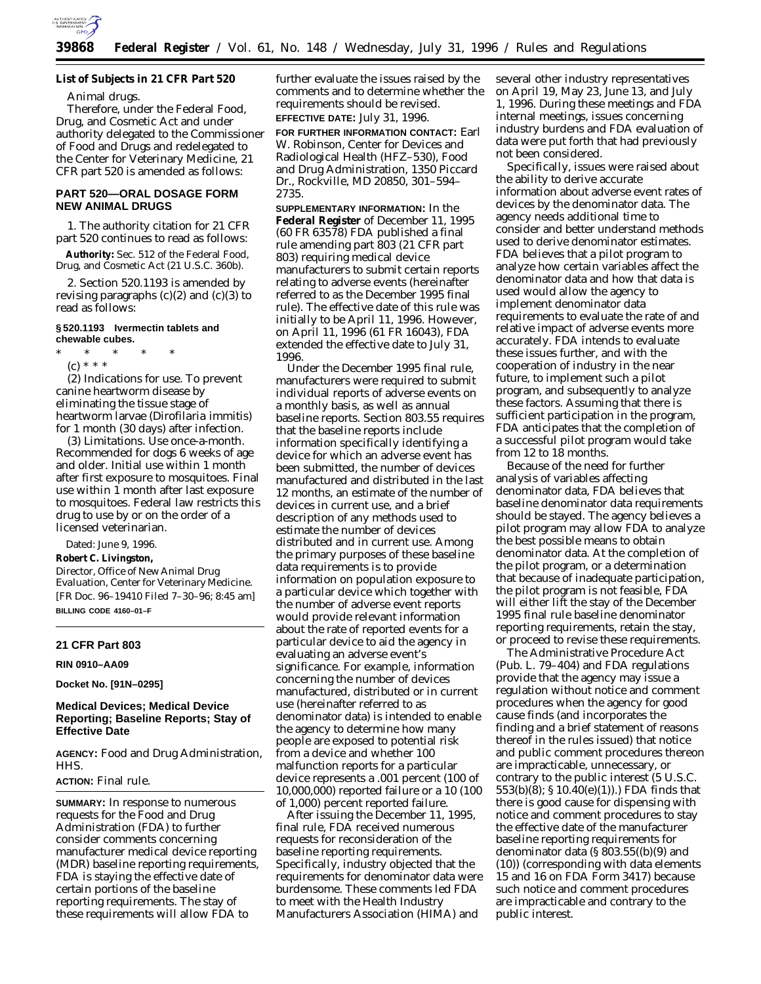

**List of Subjects in 21 CFR Part 520**

Animal drugs.

Therefore, under the Federal Food, Drug, and Cosmetic Act and under authority delegated to the Commissioner of Food and Drugs and redelegated to the Center for Veterinary Medicine, 21 CFR part 520 is amended as follows:

# **PART 520—ORAL DOSAGE FORM NEW ANIMAL DRUGS**

1. The authority citation for 21 CFR part 520 continues to read as follows:

**Authority:** Sec. 512 of the Federal Food, Drug, and Cosmetic Act (21 U.S.C. 360b).

2. Section 520.1193 is amended by revising paragraphs  $(c)(2)$  and  $(c)(3)$  to read as follows:

### **§ 520.1193 Ivermectin tablets and chewable cubes.**

\* \* \* \* \*

(c) \* \* \* (2) *Indications for use*. To prevent canine heartworm disease by eliminating the tissue stage of heartworm larvae (*Dirofilaria immitis*) for 1 month (30 days) after infection.

(3) *Limitations*. Use once-a-month. Recommended for dogs 6 weeks of age and older. Initial use within 1 month after first exposure to mosquitoes. Final use within 1 month after last exposure to mosquitoes. Federal law restricts this drug to use by or on the order of a licensed veterinarian.

Dated: June 9, 1996.

**Robert C. Livingston,** *Director, Office of New Animal Drug Evaluation, Center for Veterinary Medicine.* [FR Doc. 96–19410 Filed 7–30–96; 8:45 am] **BILLING CODE 4160–01–F**

#### **21 CFR Part 803**

**RIN 0910–AA09**

**Docket No. [91N–0295]**

# **Medical Devices; Medical Device Reporting; Baseline Reports; Stay of Effective Date**

**AGENCY:** Food and Drug Administration, HHS.

### **ACTION:** Final rule.

**SUMMARY:** In response to numerous requests for the Food and Drug Administration (FDA) to further consider comments concerning manufacturer medical device reporting (MDR) baseline reporting requirements, FDA is staying the effective date of certain portions of the baseline reporting requirements. The stay of these requirements will allow FDA to

further evaluate the issues raised by the comments and to determine whether the requirements should be revised. **EFFECTIVE DATE:** July 31, 1996.

**FOR FURTHER INFORMATION CONTACT:** Earl W. Robinson, Center for Devices and Radiological Health (HFZ–530), Food and Drug Administration, 1350 Piccard Dr., Rockville, MD 20850, 301–594– 2735.

**SUPPLEMENTARY INFORMATION:** In the **Federal Register** of December 11, 1995 (60 FR 63578) FDA published a final rule amending part 803 (21 CFR part 803) requiring medical device manufacturers to submit certain reports relating to adverse events (hereinafter referred to as the December 1995 final rule). The effective date of this rule was initially to be April 11, 1996. However, on April 11, 1996 (61 FR 16043), FDA extended the effective date to July 31, 1996.

Under the December 1995 final rule, manufacturers were required to submit individual reports of adverse events on a monthly basis, as well as annual baseline reports. Section 803.55 requires that the baseline reports include information specifically identifying a device for which an adverse event has been submitted, the number of devices manufactured and distributed in the last 12 months, an estimate of the number of devices in current use, and a brief description of any methods used to estimate the number of devices distributed and in current use. Among the primary purposes of these baseline data requirements is to provide information on population exposure to a particular device which together with the number of adverse event reports would provide relevant information about the rate of reported events for a particular device to aid the agency in evaluating an adverse event's significance. For example, information concerning the number of devices manufactured, distributed or in current use (hereinafter referred to as denominator data) is intended to enable the agency to determine how many people are exposed to potential risk from a device and whether 100 malfunction reports for a particular device represents a .001 percent (100 of 10,000,000) reported failure or a 10 (100 of 1,000) percent reported failure.

After issuing the December 11, 1995, final rule, FDA received numerous requests for reconsideration of the baseline reporting requirements. Specifically, industry objected that the requirements for denominator data were burdensome. These comments led FDA to meet with the Health Industry Manufacturers Association (HIMA) and

several other industry representatives on April 19, May 23, June 13, and July 1, 1996. During these meetings and FDA internal meetings, issues concerning industry burdens and FDA evaluation of data were put forth that had previously not been considered.

Specifically, issues were raised about the ability to derive accurate information about adverse event rates of devices by the denominator data. The agency needs additional time to consider and better understand methods used to derive denominator estimates. FDA believes that a pilot program to analyze how certain variables affect the denominator data and how that data is used would allow the agency to implement denominator data requirements to evaluate the rate of and relative impact of adverse events more accurately. FDA intends to evaluate these issues further, and with the cooperation of industry in the near future, to implement such a pilot program, and subsequently to analyze these factors. Assuming that there is sufficient participation in the program, FDA anticipates that the completion of a successful pilot program would take from 12 to 18 months.

Because of the need for further analysis of variables affecting denominator data, FDA believes that baseline denominator data requirements should be stayed. The agency believes a pilot program may allow FDA to analyze the best possible means to obtain denominator data. At the completion of the pilot program, or a determination that because of inadequate participation, the pilot program is not feasible, FDA will either lift the stay of the December 1995 final rule baseline denominator reporting requirements, retain the stay, or proceed to revise these requirements.

The Administrative Procedure Act (Pub. L. 79–404) and FDA regulations provide that the agency may issue a regulation without notice and comment procedures when the agency for good cause finds (and incorporates the finding and a brief statement of reasons thereof in the rules issued) that notice and public comment procedures thereon are impracticable, unnecessary, or contrary to the public interest (5 U.S.C. 553(b)(8); § 10.40(e)(1)).) FDA finds that there is good cause for dispensing with notice and comment procedures to stay the effective date of the manufacturer baseline reporting requirements for denominator data (§ 803.55((b)(9) and (10)) (corresponding with data elements 15 and 16 on FDA Form 3417) because such notice and comment procedures are impracticable and contrary to the public interest.